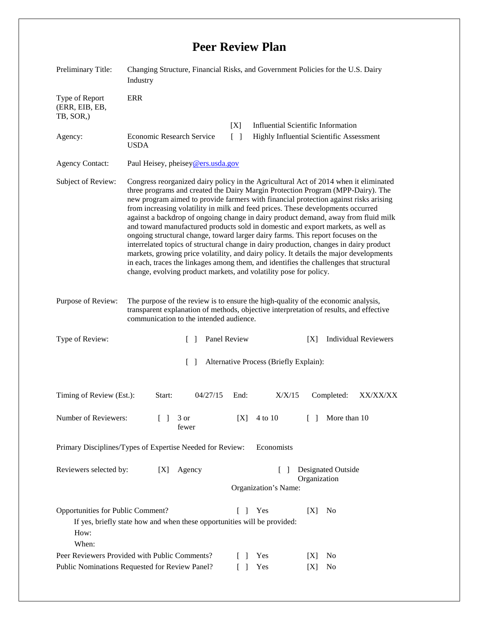## **Peer Review Plan**

| Preliminary Title:                                                                              | Changing Structure, Financial Risks, and Government Policies for the U.S. Dairy<br>Industry                                                                                                                                                                                                                                                                                                                                                                                                                                                                                                                                                                                                                                                                                                                                                                                                                                                                         |               |              |                                                                                       |                                    |                             |
|-------------------------------------------------------------------------------------------------|---------------------------------------------------------------------------------------------------------------------------------------------------------------------------------------------------------------------------------------------------------------------------------------------------------------------------------------------------------------------------------------------------------------------------------------------------------------------------------------------------------------------------------------------------------------------------------------------------------------------------------------------------------------------------------------------------------------------------------------------------------------------------------------------------------------------------------------------------------------------------------------------------------------------------------------------------------------------|---------------|--------------|---------------------------------------------------------------------------------------|------------------------------------|-----------------------------|
| Type of Report<br>(ERR, EIB, EB,<br>TB, SOR,)                                                   | <b>ERR</b>                                                                                                                                                                                                                                                                                                                                                                                                                                                                                                                                                                                                                                                                                                                                                                                                                                                                                                                                                          |               | [X]          |                                                                                       |                                    |                             |
| Agency:                                                                                         | Economic Research Service<br><b>USDA</b>                                                                                                                                                                                                                                                                                                                                                                                                                                                                                                                                                                                                                                                                                                                                                                                                                                                                                                                            |               |              | <b>Influential Scientific Information</b><br>Highly Influential Scientific Assessment |                                    |                             |
| <b>Agency Contact:</b>                                                                          | Paul Heisey, pheisey@ers.usda.gov                                                                                                                                                                                                                                                                                                                                                                                                                                                                                                                                                                                                                                                                                                                                                                                                                                                                                                                                   |               |              |                                                                                       |                                    |                             |
| Subject of Review:                                                                              | Congress reorganized dairy policy in the Agricultural Act of 2014 when it eliminated<br>three programs and created the Dairy Margin Protection Program (MPP-Dairy). The<br>new program aimed to provide farmers with financial protection against risks arising<br>from increasing volatility in milk and feed prices. These developments occurred<br>against a backdrop of ongoing change in dairy product demand, away from fluid milk<br>and toward manufactured products sold in domestic and export markets, as well as<br>ongoing structural change, toward larger dairy farms. This report focuses on the<br>interrelated topics of structural change in dairy production, changes in dairy product<br>markets, growing price volatility, and dairy policy. It details the major developments<br>in each, traces the linkages among them, and identifies the challenges that structural<br>change, evolving product markets, and volatility pose for policy. |               |              |                                                                                       |                                    |                             |
| Purpose of Review:                                                                              | The purpose of the review is to ensure the high-quality of the economic analysis,<br>transparent explanation of methods, objective interpretation of results, and effective<br>communication to the intended audience.                                                                                                                                                                                                                                                                                                                                                                                                                                                                                                                                                                                                                                                                                                                                              |               |              |                                                                                       |                                    |                             |
| Type of Review:<br>$\lceil$ 1                                                                   |                                                                                                                                                                                                                                                                                                                                                                                                                                                                                                                                                                                                                                                                                                                                                                                                                                                                                                                                                                     |               | Panel Review |                                                                                       | [X]                                | <b>Individual Reviewers</b> |
| $\begin{bmatrix} 1 \end{bmatrix}$<br>Alternative Process (Briefly Explain):                     |                                                                                                                                                                                                                                                                                                                                                                                                                                                                                                                                                                                                                                                                                                                                                                                                                                                                                                                                                                     |               |              |                                                                                       |                                    |                             |
| Timing of Review (Est.):                                                                        | Start:                                                                                                                                                                                                                                                                                                                                                                                                                                                                                                                                                                                                                                                                                                                                                                                                                                                                                                                                                              | 04/27/15      | End:         | X/X/15                                                                                | Completed:                         | XX/XX/XX                    |
| Number of Reviewers:                                                                            |                                                                                                                                                                                                                                                                                                                                                                                                                                                                                                                                                                                                                                                                                                                                                                                                                                                                                                                                                                     | 3 or<br>fewer | [X]          | 4 to 10                                                                               | $\Box$                             | More than 10                |
| Primary Disciplines/Types of Expertise Needed for Review:<br>Economists                         |                                                                                                                                                                                                                                                                                                                                                                                                                                                                                                                                                                                                                                                                                                                                                                                                                                                                                                                                                                     |               |              |                                                                                       |                                    |                             |
| Reviewers selected by:                                                                          | [X]                                                                                                                                                                                                                                                                                                                                                                                                                                                                                                                                                                                                                                                                                                                                                                                                                                                                                                                                                                 | Agency        |              | $\Box$<br>Organization's Name:                                                        | Designated Outside<br>Organization |                             |
| Opportunities for Public Comment?<br>How:<br>When:                                              | If yes, briefly state how and when these opportunities will be provided:                                                                                                                                                                                                                                                                                                                                                                                                                                                                                                                                                                                                                                                                                                                                                                                                                                                                                            |               | $\Box$       | Yes                                                                                   | No<br>[X]                          |                             |
| Peer Reviewers Provided with Public Comments?<br>Public Nominations Requested for Review Panel? |                                                                                                                                                                                                                                                                                                                                                                                                                                                                                                                                                                                                                                                                                                                                                                                                                                                                                                                                                                     |               | $\mathbf{L}$ | Yes<br>Yes                                                                            | N <sub>0</sub><br> X <br>No<br>[X] |                             |